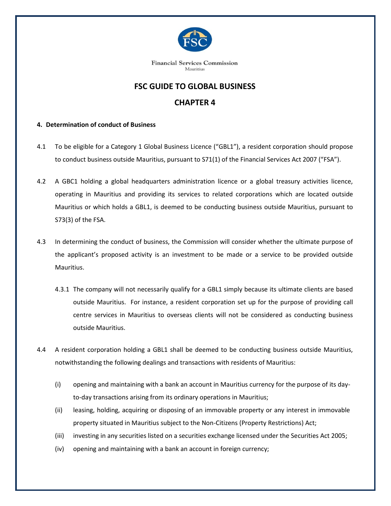

**Financial Services Commission** Mauritius

## **FSC GUIDE TO GLOBAL BUSINESS**

## **CHAPTER 4**

## **4. Determination of conduct of Business**

- 4.1 To be eligible for a Category 1 Global Business Licence ("GBL1"), a resident corporation should propose to conduct business outside Mauritius, pursuant to S71(1) of the Financial Services Act 2007 ("FSA").
- 4.2 A GBC1 holding a global headquarters administration licence or a global treasury activities licence, operating in Mauritius and providing its services to related corporations which are located outside Mauritius or which holds a GBL1, is deemed to be conducting business outside Mauritius, pursuant to S73(3) of the FSA.
- 4.3 In determining the conduct of business, the Commission will consider whether the ultimate purpose of the applicant's proposed activity is an investment to be made or a service to be provided outside Mauritius.
	- 4.3.1 The company will not necessarily qualify for a GBL1 simply because its ultimate clients are based outside Mauritius. For instance, a resident corporation set up for the purpose of providing call centre services in Mauritius to overseas clients will not be considered as conducting business outside Mauritius.
- 4.4 A resident corporation holding a GBL1 shall be deemed to be conducting business outside Mauritius, notwithstanding the following dealings and transactions with residents of Mauritius:
	- (i) opening and maintaining with a bank an account in Mauritius currency for the purpose of its dayto-day transactions arising from its ordinary operations in Mauritius;
	- (ii) leasing, holding, acquiring or disposing of an immovable property or any interest in immovable property situated in Mauritius subject to the Non-Citizens (Property Restrictions) Act;
	- (iii) investing in any securities listed on a securities exchange licensed under the Securities Act 2005;
	- (iv) opening and maintaining with a bank an account in foreign currency;